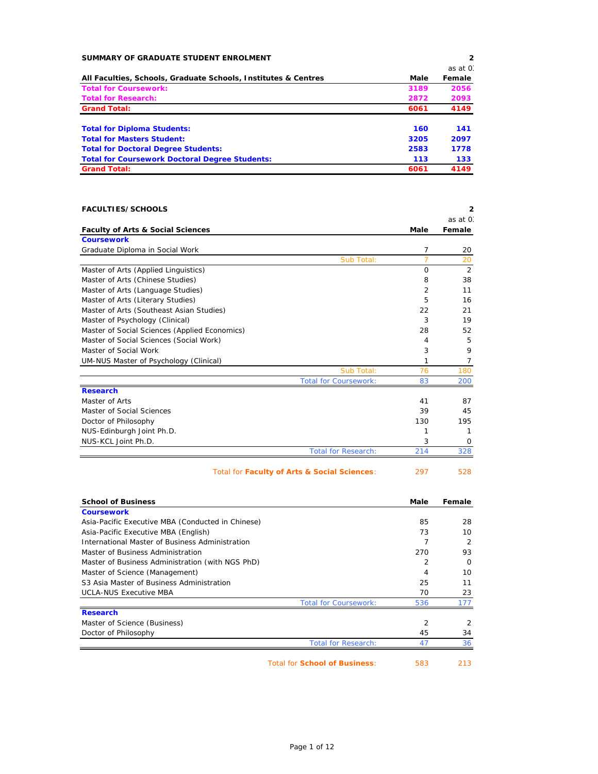| SUMMARY OF GRADUATE STUDENT ENROLMENT                          |      | $\overline{2}$ |
|----------------------------------------------------------------|------|----------------|
|                                                                |      | as at 0.       |
| All Faculties, Schools, Graduate Schools, Institutes & Centres | Male | Female         |
| <b>Total for Coursework:</b>                                   | 3189 | 2056           |
| <b>Total for Research:</b>                                     | 2872 | 2093           |
| <b>Grand Total:</b>                                            | 6061 | 4149           |
| <b>Total for Diploma Students:</b>                             | 160  | 141            |
| <b>Total for Masters Student:</b>                              | 3205 | 2097           |
| <b>Total for Doctoral Degree Students:</b>                     | 2583 | 1778           |
| <b>Total for Coursework Doctoral Degree Students:</b>          | 113  | 133            |
| <b>Grand Total:</b>                                            | 6061 | 4149           |

| <b>FACULTIES/SCHOOLS</b>                                               |                              |                      | 2                    |
|------------------------------------------------------------------------|------------------------------|----------------------|----------------------|
|                                                                        |                              |                      | as at 0.             |
| <b>Faculty of Arts &amp; Social Sciences</b>                           |                              | Male                 | Female               |
| <b>Coursework</b>                                                      |                              |                      |                      |
| Graduate Diploma in Social Work                                        |                              | 7<br>$\overline{7}$  | 20                   |
| Master of Arts (Applied Linguistics)                                   | Sub Total:                   | 0                    | 20<br>2              |
|                                                                        |                              | 8                    | 38                   |
| Master of Arts (Chinese Studies)                                       |                              | $\overline{2}$       | 11                   |
| Master of Arts (Language Studies)<br>Master of Arts (Literary Studies) |                              | 5                    | 16                   |
| Master of Arts (Southeast Asian Studies)                               |                              | 22                   | 21                   |
| Master of Psychology (Clinical)                                        |                              | 3                    | 19                   |
| Master of Social Sciences (Applied Economics)                          |                              | 28                   | 52                   |
| Master of Social Sciences (Social Work)                                |                              | 4                    | 5                    |
| Master of Social Work                                                  |                              | 3                    | 9                    |
| UM-NUS Master of Psychology (Clinical)                                 |                              | 1                    | $\overline{7}$       |
|                                                                        | Sub Total:                   | 76                   | 180                  |
|                                                                        | <b>Total for Coursework:</b> | 83                   | 200                  |
| <b>Research</b>                                                        |                              |                      |                      |
| Master of Arts                                                         |                              | 41                   | 87                   |
| Master of Social Sciences                                              |                              | 39                   | 45                   |
| Doctor of Philosophy                                                   |                              | 130                  | 195                  |
| NUS-Edinburgh Joint Ph.D.                                              |                              | 1                    | 1                    |
| NUS-KCL Joint Ph.D.                                                    |                              | 3                    | 0                    |
|                                                                        | <b>Total for Research:</b>   | 214                  | 328                  |
| Total for Faculty of Arts & Social Sciences:                           |                              | 297                  | 528                  |
|                                                                        |                              |                      |                      |
| <b>School of Business</b>                                              |                              | Male                 | Female               |
| <b>Coursework</b>                                                      |                              |                      |                      |
| Asia-Pacific Executive MBA (Conducted in Chinese)                      |                              | 85                   | 28                   |
| Asia-Pacific Executive MBA (English)                                   |                              | 73                   | 10                   |
| International Master of Business Administration                        |                              | $\overline{7}$       | $\overline{2}$       |
| Master of Business Administration                                      |                              | 270                  | 93                   |
| Master of Business Administration (with NGS PhD)                       |                              | $\overline{2}$       | $\Omega$             |
| Master of Science (Management)                                         |                              | $\overline{4}$       | 10                   |
| S3 Asia Master of Business Administration                              |                              | 25                   | 11                   |
| <b>UCLA-NUS Executive MBA</b>                                          |                              | 70                   | 23                   |
|                                                                        | <b>Total for Coursework:</b> | 536                  | 177                  |
| <b>Research</b>                                                        |                              |                      |                      |
| Master of Science (Business)                                           |                              | $\overline{2}$<br>45 | $\overline{2}$<br>34 |
| Doctor of Philosophy                                                   |                              |                      |                      |

Ė

Total for **School of Business**: 583 213

Total for Research: 47 36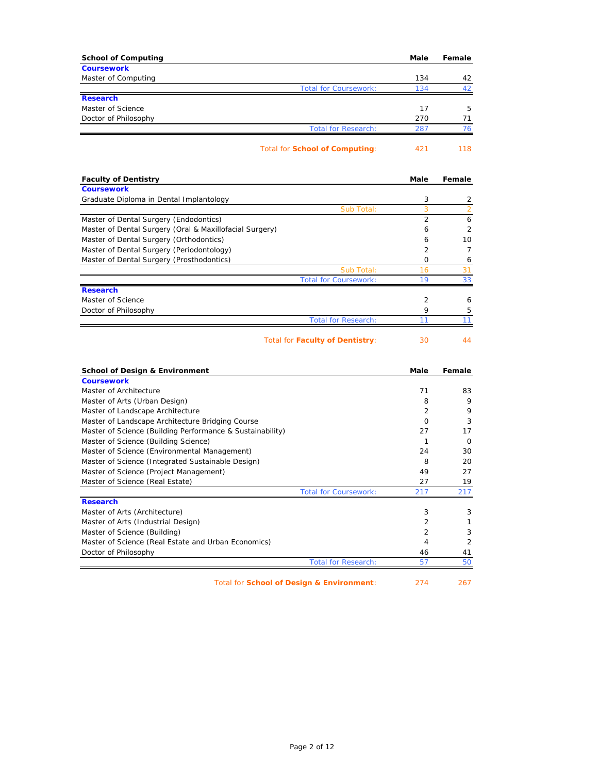| <b>School of Computing</b>                                                                  | Male                | Female              |
|---------------------------------------------------------------------------------------------|---------------------|---------------------|
| <b>Coursework</b>                                                                           |                     |                     |
| Master of Computing<br><b>Total for Coursework:</b>                                         | 134<br>134          | 42<br>42            |
| <b>Research</b>                                                                             |                     |                     |
| Master of Science                                                                           | 17                  | 5                   |
| Doctor of Philosophy                                                                        | 270                 | 71                  |
| <b>Total for Research:</b>                                                                  | 287                 | 76                  |
| Total for School of Computing:                                                              | 421                 | 118                 |
| <b>Faculty of Dentistry</b>                                                                 | Male                | Female              |
| <b>Coursework</b>                                                                           |                     |                     |
| Graduate Diploma in Dental Implantology                                                     | 3                   | 2                   |
| Sub Total:<br>Master of Dental Surgery (Endodontics)                                        | 3<br>$\overline{2}$ | $\overline{2}$<br>6 |
| Master of Dental Surgery (Oral & Maxillofacial Surgery)                                     | 6                   | $\overline{2}$      |
| Master of Dental Surgery (Orthodontics)                                                     | 6                   | 10                  |
| Master of Dental Surgery (Periodontology)                                                   | $\overline{2}$      | $\overline{7}$      |
| Master of Dental Surgery (Prosthodontics)                                                   | 0                   | 6                   |
| Sub Total:                                                                                  | 16                  | 31                  |
| <b>Total for Coursework:</b>                                                                | 19                  | 33                  |
| <b>Research</b>                                                                             |                     |                     |
| Master of Science                                                                           | 2                   | 6                   |
| Doctor of Philosophy                                                                        | 9                   | 5                   |
| <b>Total for Research:</b>                                                                  | 11                  | 11                  |
| Total for Faculty of Dentistry:                                                             | 30                  | 44                  |
| <b>School of Design &amp; Environment</b>                                                   | Male                | Female              |
| <b>Coursework</b>                                                                           |                     |                     |
| Master of Architecture                                                                      | 71                  | 83                  |
| Master of Arts (Urban Design)                                                               | 8                   | 9                   |
| Master of Landscape Architecture                                                            | $\overline{2}$      | 9                   |
| Master of Landscape Architecture Bridging Course                                            | $\Omega$            | 3                   |
| Master of Science (Building Performance & Sustainability)                                   | 27                  | 17                  |
| Master of Science (Building Science)                                                        | $\mathbf{1}$        | 0                   |
| Master of Science (Environmental Management)                                                | 24                  | 30                  |
| Master of Science (Integrated Sustainable Design)<br>Master of Science (Project Management) | 8                   | 20                  |
| Master of Science (Real Estate)                                                             | 49<br>27            | 27<br>19            |
| <b>Total for Coursework:</b>                                                                | 217                 | 217                 |
| <b>Research</b>                                                                             |                     |                     |
| Master of Arts (Architecture)                                                               | 3                   | 3                   |
| Master of Arts (Industrial Design)                                                          | $\overline{2}$      | 1                   |
| Master of Science (Building)                                                                | 2                   | 3                   |
| Master of Science (Real Estate and Urban Economics)                                         | 4                   | 2                   |
| Doctor of Philosophy                                                                        | 46                  | 41                  |
| <b>Total for Research:</b>                                                                  | 57                  | 50                  |
| Total for School of Design & Environment:                                                   | 274                 | 267                 |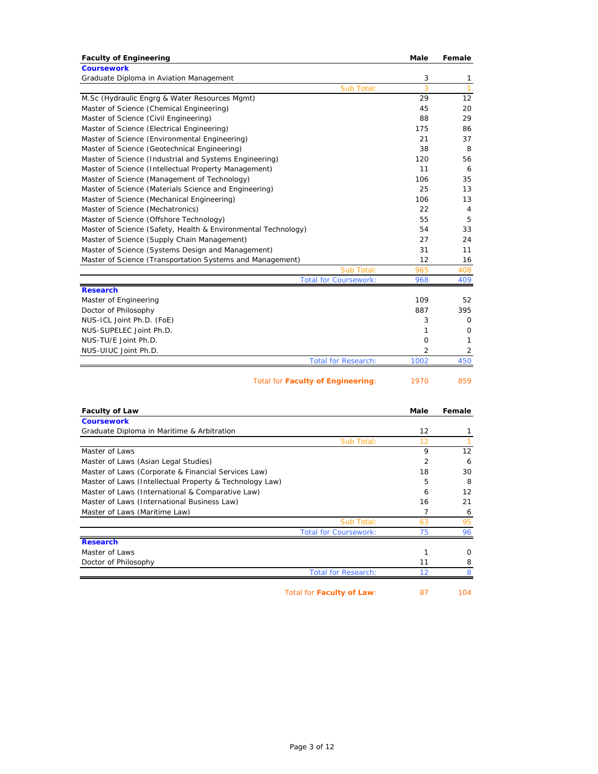| <b>Faculty of Engineering</b>                                 | Male           | Female         |
|---------------------------------------------------------------|----------------|----------------|
| <b>Coursework</b>                                             |                |                |
| Graduate Diploma in Aviation Management                       | 3              | 1              |
| Sub Total:                                                    | $\overline{3}$ | $\mathbf{1}$   |
| M.Sc (Hydraulic Engrg & Water Resources Mgmt)                 | 29             | 12             |
| Master of Science (Chemical Engineering)                      | 45             | 20             |
| Master of Science (Civil Engineering)                         | 88             | 29             |
| Master of Science (Electrical Engineering)                    | 175            | 86             |
| Master of Science (Environmental Engineering)                 | 21             | 37             |
| Master of Science (Geotechnical Engineering)                  | 38             | 8              |
| Master of Science (Industrial and Systems Engineering)        | 120            | 56             |
| Master of Science (Intellectual Property Management)          | 11             | 6              |
| Master of Science (Management of Technology)                  | 106            | 35             |
| Master of Science (Materials Science and Engineering)         | 25             | 13             |
| Master of Science (Mechanical Engineering)                    | 106            | 13             |
| Master of Science (Mechatronics)                              | 22             | $\overline{4}$ |
| Master of Science (Offshore Technology)                       | 55             | 5              |
| Master of Science (Safety, Health & Environmental Technology) | 54             | 33             |
| Master of Science (Supply Chain Management)                   | 27             | 24             |
| Master of Science (Systems Design and Management)             | 31             | 11             |
| Master of Science (Transportation Systems and Management)     | 12             | 16             |
| Sub Total:                                                    | 965            | 408            |
| <b>Total for Coursework:</b>                                  | 968            | 409            |
| <b>Research</b>                                               |                |                |
| Master of Engineering                                         | 109            | 52             |
| Doctor of Philosophy                                          | 887            | 395            |
| NUS-ICL Joint Ph.D. (FoE)                                     | 3              | 0              |
| NUS-SUPELEC Joint Ph.D.                                       | 1              | 0              |
| NUS-TU/E Joint Ph.D.                                          | $\Omega$       | 1              |
| NUS-UIUC Joint Ph.D.                                          | 2              | $\overline{2}$ |
| <b>Total for Research:</b>                                    | 1002           | 450            |
|                                                               |                |                |
| <b>Total for Faculty of Engineering:</b>                      | 1970           | 859            |
| <b>Faculty of Law</b>                                         | Male           | Female         |
| <b>Coursework</b>                                             |                |                |
| Graduate Diploma in Maritime & Arbitration                    | 12             | 1              |
| Sub Total:                                                    | 12             | 1              |

| Sub Total:                                              | 12 |    |
|---------------------------------------------------------|----|----|
| Master of Laws                                          | 9  | 12 |
| Master of Laws (Asian Legal Studies)                    |    | 6  |
| Master of Laws (Corporate & Financial Services Law)     | 18 | 30 |
| Master of Laws (Intellectual Property & Technology Law) | 5  | 8  |
| Master of Laws (International & Comparative Law)        | 6  | 12 |
| Master of Laws (International Business Law)             | 16 | 21 |
| Master of Laws (Maritime Law)                           |    | 6  |
| Sub Total:                                              | 63 | 95 |
| <b>Total for Coursework:</b>                            | 75 | 96 |
| <b>Research</b>                                         |    |    |
| Master of Laws                                          |    | ∩  |
| Doctor of Philosophy                                    | 11 | 8  |
| <b>Total for Research:</b>                              | 12 |    |

Total for **Faculty of Law**: 87 104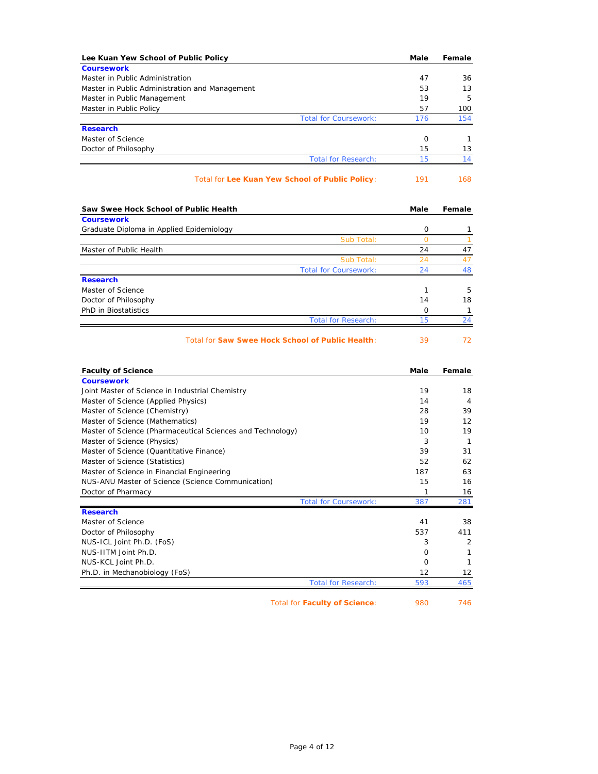| Lee Kuan Yew School of Public Policy                        | Male      | Female                                                                                    |
|-------------------------------------------------------------|-----------|-------------------------------------------------------------------------------------------|
| <b>Coursework</b>                                           |           |                                                                                           |
| Master in Public Administration                             | 47        | 36                                                                                        |
| Master in Public Administration and Management              | 53        | 13                                                                                        |
| Master in Public Management                                 | 19        | 5                                                                                         |
| Master in Public Policy                                     | 57        | 100                                                                                       |
| <b>Total for Coursework:</b><br><b>Research</b>             | 176       | 154                                                                                       |
| Master of Science                                           | 0         | $\mathbf{1}$                                                                              |
| Doctor of Philosophy                                        | 15        | 13                                                                                        |
| <b>Total for Research:</b>                                  | 15        | 14                                                                                        |
| Total for Lee Kuan Yew School of Public Policy:             | 191       | 168                                                                                       |
| Saw Swee Hock School of Public Health                       | Male      | Female                                                                                    |
| <b>Coursework</b>                                           |           |                                                                                           |
| Graduate Diploma in Applied Epidemiology                    | 0         | 1                                                                                         |
| Sub Total:                                                  | $\circ$   | $\mathbf{1}$                                                                              |
| Master of Public Health                                     | 24        | 47                                                                                        |
| Sub Total:                                                  | 24        | 47                                                                                        |
| <b>Total for Coursework:</b>                                | 24        | 48                                                                                        |
| <b>Research</b><br>Master of Science                        | 1         | 5                                                                                         |
|                                                             | 14        | 18                                                                                        |
|                                                             |           |                                                                                           |
| Doctor of Philosophy                                        |           |                                                                                           |
| PhD in Biostatistics<br><b>Total for Research:</b>          | 0<br>15   |                                                                                           |
| Total for Saw Swee Hock School of Public Health:            | 39        |                                                                                           |
| <b>Faculty of Science</b>                                   | Male      |                                                                                           |
| <b>Coursework</b>                                           |           |                                                                                           |
| Joint Master of Science in Industrial Chemistry             | 19        | 18                                                                                        |
| Master of Science (Applied Physics)                         | 14        | 4                                                                                         |
| Master of Science (Chemistry)                               | 28        |                                                                                           |
| Master of Science (Mathematics)                             | 19        | 12                                                                                        |
| Master of Science (Pharmaceutical Sciences and Technology)  | 10        | 19                                                                                        |
| Master of Science (Physics)                                 | 3         | $\mathbf{1}$                                                                              |
| Master of Science (Quantitative Finance)                    | 39        | 31                                                                                        |
| Master of Science (Statistics)                              | 52        |                                                                                           |
| Master of Science in Financial Engineering                  | 187       |                                                                                           |
| NUS-ANU Master of Science (Science Communication)           | 15        | 16                                                                                        |
| Doctor of Pharmacy<br><b>Total for Coursework:</b>          | 1<br>387  |                                                                                           |
| <b>Research</b>                                             |           |                                                                                           |
| Master of Science                                           | 41        |                                                                                           |
| Doctor of Philosophy                                        | 537       |                                                                                           |
| NUS-ICL Joint Ph.D. (FoS)                                   | 3         |                                                                                           |
| NUS-IITM Joint Ph.D.                                        | 0         | 1                                                                                         |
| NUS-KCL Joint Ph.D.                                         | 0         | 411<br>1                                                                                  |
| Ph.D. in Mechanobiology (FoS)<br><b>Total for Research:</b> | 12<br>593 | $\mathbf{1}$<br>24<br>72<br>Female<br>39<br>62<br>63<br>16<br>281<br>38<br>2<br>12<br>465 |

Total for **Faculty of Science**: 980 746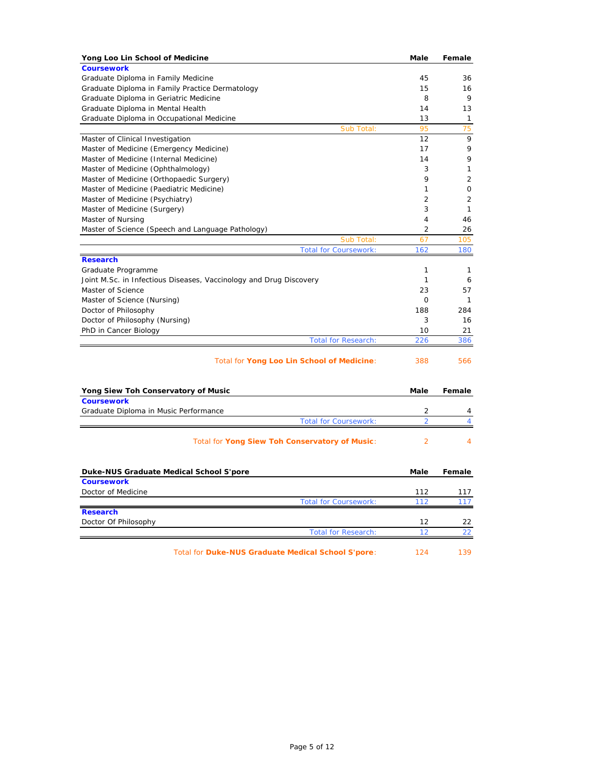| Yong Loo Lin School of Medicine                                    | Male           | Female         |
|--------------------------------------------------------------------|----------------|----------------|
| <b>Coursework</b>                                                  |                |                |
| Graduate Diploma in Family Medicine                                | 45             | 36             |
| Graduate Diploma in Family Practice Dermatology                    | 15             | 16             |
| Graduate Diploma in Geriatric Medicine                             | 8              | 9              |
| Graduate Diploma in Mental Health                                  | 14             | 13             |
| Graduate Diploma in Occupational Medicine                          | 13             | 1              |
| Sub Total:                                                         | 95             | 75             |
| Master of Clinical Investigation                                   | 12             | 9              |
| Master of Medicine (Emergency Medicine)                            | 17             | 9              |
| Master of Medicine (Internal Medicine)                             | 14             | 9              |
| Master of Medicine (Ophthalmology)                                 | 3              | 1              |
| Master of Medicine (Orthopaedic Surgery)                           | 9              | $\overline{2}$ |
| Master of Medicine (Paediatric Medicine)                           | 1              | 0              |
| Master of Medicine (Psychiatry)                                    | $\overline{2}$ | $\overline{2}$ |
| Master of Medicine (Surgery)                                       | 3              | 1              |
| Master of Nursing                                                  | 4              | 46             |
| Master of Science (Speech and Language Pathology)                  | $\overline{2}$ | 26             |
| Sub Total:                                                         | 67             | 105            |
| <b>Total for Coursework:</b>                                       | 162            | 180            |
| <b>Research</b>                                                    |                |                |
| Graduate Programme                                                 | 1              | 1              |
| Joint M.Sc. in Infectious Diseases, Vaccinology and Drug Discovery | 1              | 6              |
| Master of Science                                                  | 23             | 57             |
| Master of Science (Nursing)                                        | $\mathbf 0$    | $\mathbf{1}$   |
| Doctor of Philosophy                                               | 188            | 284            |
| Doctor of Philosophy (Nursing)                                     | 3              | 16             |
| PhD in Cancer Biology                                              | 10             | 21             |
| <b>Total for Research:</b>                                         | 226            | 386            |
| Total for Yong Loo Lin School of Medicine:                         | 388            | 566            |
| Yong Siew Toh Conservatory of Music                                | Male           | Female         |
| <b>Coursework</b>                                                  |                |                |
| Graduate Diploma in Music Performance                              | 2              | 4              |
| <b>Total for Coursework:</b>                                       | $\overline{2}$ | 4              |
| Total for Yong Siew Toh Conservatory of Music:                     | $\overline{2}$ | 4              |
| Duke-NUS Graduate Medical School S'pore                            | Male           | Female         |
| <b>Coursework</b>                                                  |                |                |
| Doctor of Medicine                                                 | 112            | 117            |
| <b>Total for Coursework:</b>                                       | 112            | 117            |
| <b>Research</b>                                                    |                |                |
| Doctor Of Philosophy                                               | 12             | 22             |
| <b>Total for Research:</b>                                         | 12             | 22             |
| Total for Duke-NUS Graduate Medical School S'pore:                 | 124            | 139            |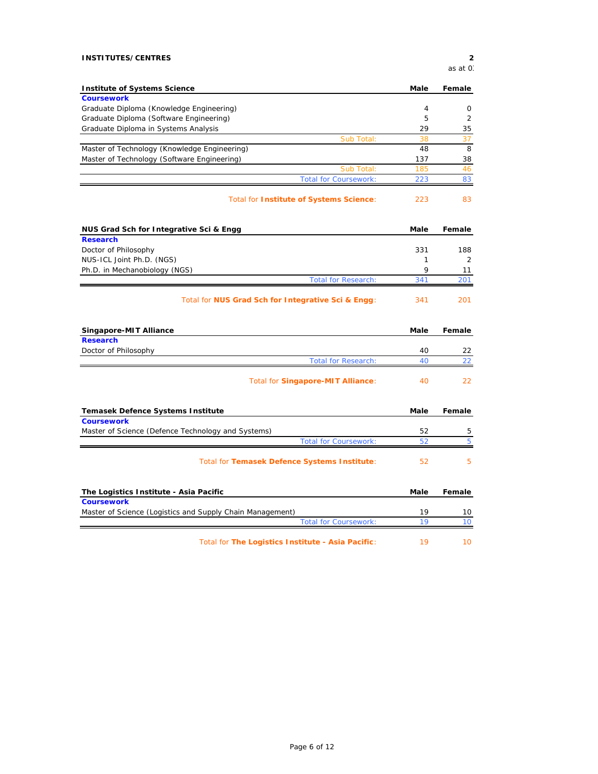## **INSTITUTES/CENTRES 2**

*as at 03*

| <b>Institute of Systems Science</b>                       | Male        | Female         |
|-----------------------------------------------------------|-------------|----------------|
| <b>Coursework</b>                                         |             |                |
| Graduate Diploma (Knowledge Engineering)                  | 4           | 0              |
| Graduate Diploma (Software Engineering)                   | 5           | 2              |
| Graduate Diploma in Systems Analysis                      | 29          | 35             |
| Sub Total:                                                | 38          | 37             |
| Master of Technology (Knowledge Engineering)              | 48          | 8              |
| Master of Technology (Software Engineering)               | 137         | 38             |
| Sub Total:                                                | 185         | 46             |
| <b>Total for Coursework:</b>                              | 223         | 83             |
| Total for Institute of Systems Science:                   | 223         | 83             |
| NUS Grad Sch for Integrative Sci & Engg                   | Male        | Female         |
| <b>Research</b>                                           |             |                |
| Doctor of Philosophy                                      | 331         | 188            |
| NUS-ICL Joint Ph.D. (NGS)                                 | 1           | $\overline{2}$ |
| Ph.D. in Mechanobiology (NGS)                             | 9           | 11             |
| <b>Total for Research:</b>                                | 341         | 201            |
| Total for NUS Grad Sch for Integrative Sci & Engg:        | 341         | 201            |
| Singapore-MIT Alliance                                    | Male        | Female         |
| <b>Research</b>                                           |             |                |
| Doctor of Philosophy                                      | 40          | 22             |
| <b>Total for Research:</b>                                | 40          | 22             |
| Total for Singapore-MIT Alliance:                         | 40          | 22             |
| Temasek Defence Systems Institute                         | <b>Male</b> | Female         |
| <b>Coursework</b>                                         |             |                |
| Master of Science (Defence Technology and Systems)        | 52          | 5              |
| <b>Total for Coursework:</b>                              | 52          | 5              |
| Total for Temasek Defence Systems Institute:              | 52          | 5              |
|                                                           |             |                |
| The Logistics Institute - Asia Pacific                    | Male        | Female         |
| <b>Coursework</b>                                         |             |                |
| Master of Science (Logistics and Supply Chain Management) | 19          | 10             |
| <b>Total for Coursework:</b>                              | 19          | 10             |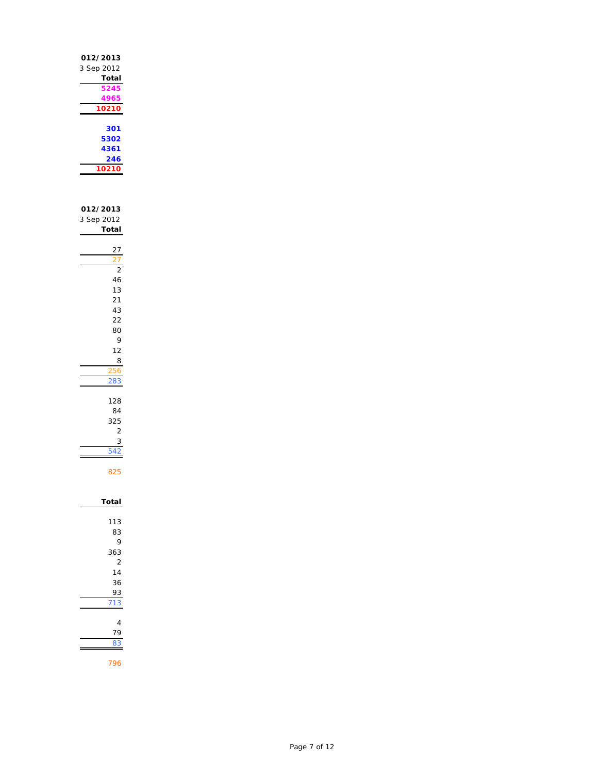| 012/2013<br>3 Sep 2012          |
|---------------------------------|
| Total<br>24!<br>1965            |
| 10210<br>301                    |
| 5302<br>4361<br>246             |
| 10<br>10<br>ľ                   |
| 012/2013<br>3 Sep 2012<br>Total |
|                                 |
| $\overline{c}$<br>46            |
| 13<br>$\overline{21}$           |
| 43<br>$\overline{22}$           |
| 80<br>9                         |
| 12<br>8<br>256                  |
|                                 |
| 128<br>84                       |
| 325<br>$\overline{c}$           |
| 3<br>54                         |
| 825                             |
| Total                           |
| 113<br>83                       |
| 9<br>363                        |
| $\overline{2}$<br>14            |
| 36<br>λ3                        |
|                                 |
| 4<br>9                          |
|                                 |

Page 7 of 12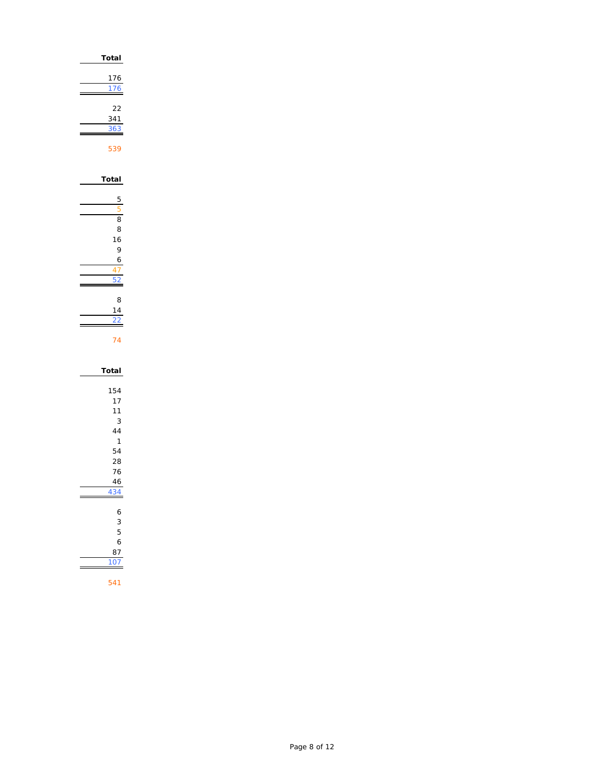| Total                                                                           |
|---------------------------------------------------------------------------------|
| 176<br>176                                                                      |
| 22<br>$\frac{341}{5}$<br>36<br>ׇ֠֕֓֕֓֕֓֕֓֡                                      |
| 539                                                                             |
| Total                                                                           |
| 5<br>5<br>8<br>8                                                                |
| 16<br>$\overline{9}$<br>6                                                       |
| 47<br>F                                                                         |
| 8<br>14<br>$\overline{2}$                                                       |
| 74                                                                              |
| Total                                                                           |
| 154<br>17<br>11<br>3<br>44<br>$\overline{1}$<br>54<br>28<br>76<br>46<br>34<br>4 |
| 6<br>3<br>5<br>6<br>87<br>$\overline{0}$<br>1                                   |
| 541                                                                             |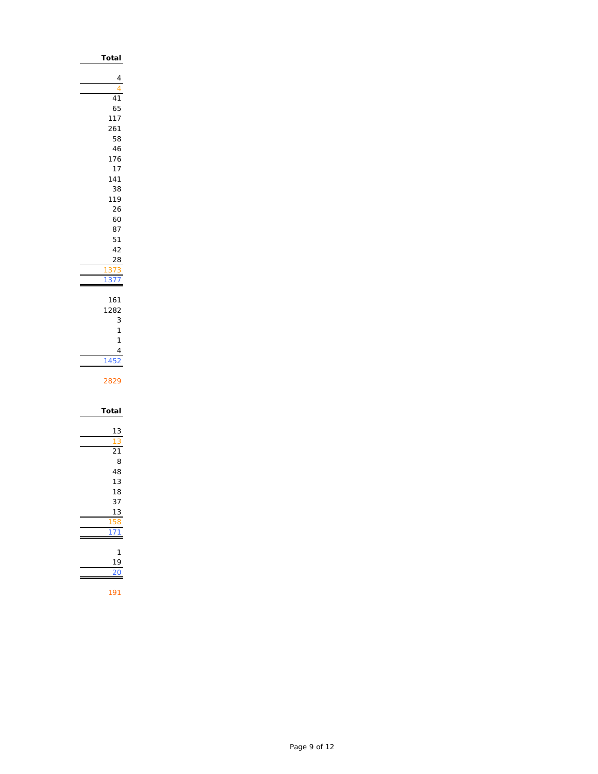| Total           |
|-----------------|
|                 |
| 4               |
| 4               |
| 41              |
| 65              |
| 117<br>261      |
| 58              |
| 46              |
| 176             |
| 17              |
| 141             |
| 38              |
| 119             |
| 26              |
| 60              |
| 87              |
| 51              |
| 42              |
| 28              |
| 373<br>1        |
| 377<br>1        |
|                 |
| 161             |
| 1282            |
| 3<br>1          |
| 1               |
| 4               |
| 145             |
|                 |
| 2829            |
|                 |
|                 |
| Total           |
| 13              |
| 13              |
| $\overline{21}$ |
| 8               |
| 48              |
| 13              |
| 18              |
| 37              |
| 13              |
| ı<br>F          |
| J               |
|                 |
| 1               |
| 19              |
|                 |
| 191             |
|                 |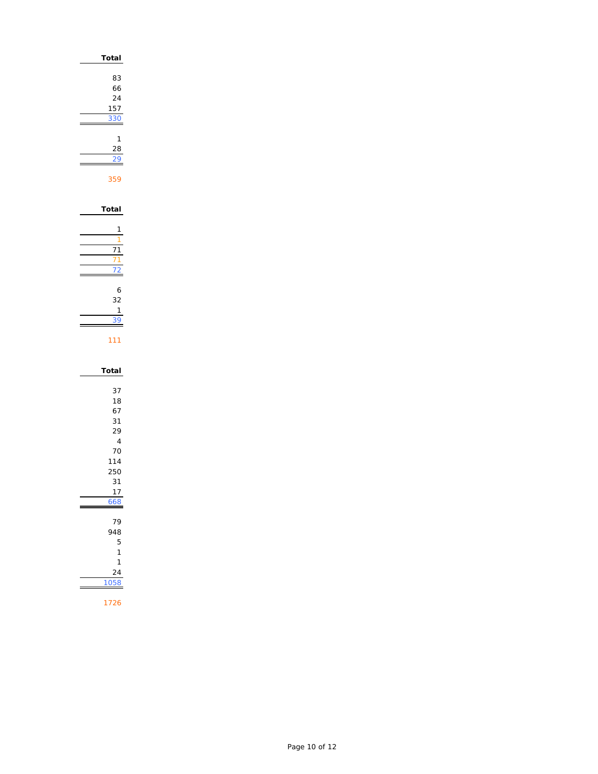| Total                                                                             |
|-----------------------------------------------------------------------------------|
| 83<br>66<br>24<br>157<br>3ť<br>3                                                  |
| 1<br>28<br>9<br>359                                                               |
| Total<br>1                                                                        |
| 1                                                                                 |
| 6<br>32<br>1                                                                      |
| 111                                                                               |
| Total                                                                             |
| 37<br>18<br>67<br>31<br>29<br>$\overline{4}$<br>70<br>114<br>250<br>31<br>17<br>8 |
| 79<br>48<br>5<br>1<br>1<br>24<br>(<br>1                                           |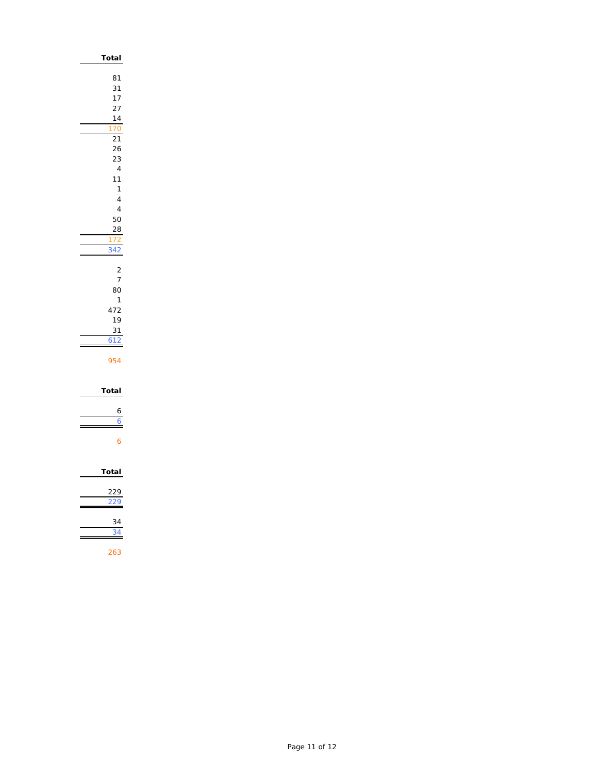| Total                                                                     |
|---------------------------------------------------------------------------|
| 81<br>31<br>17<br>27<br>$\frac{14}{1}$<br>$\overline{21}$<br>26<br>23     |
| $\overline{4}$<br>11<br>1<br>$\overline{4}$<br>$\overline{4}$<br>50<br>28 |
| ÷                                                                         |
| 2<br>7<br>80<br>$\mathbf{1}$<br>472<br>19<br>31<br>$\frac{12}{2}$         |
| 954                                                                       |
| Total                                                                     |
|                                                                           |
| Total                                                                     |
|                                                                           |
|                                                                           |
| 34                                                                        |
| 263                                                                       |